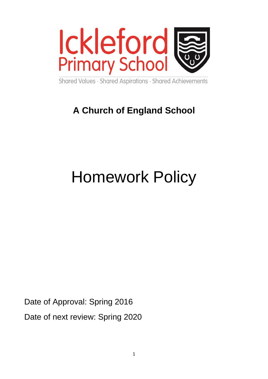

Shared Values · Shared Aspirations · Shared Achievements

# **A Church of England School**

# Homework Policy

Date of Approval: Spring 2016 Date of next review: Spring 2020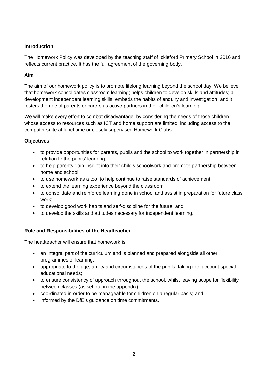#### **Introduction**

The Homework Policy was developed by the teaching staff of Ickleford Primary School in 2016 and reflects current practice. It has the full agreement of the governing body.

#### **Aim**

The aim of our homework policy is to promote lifelong learning beyond the school day. We believe that homework consolidates classroom learning; helps children to develop skills and attitudes; a development independent learning skills; embeds the habits of enquiry and investigation; and it fosters the role of parents or carers as active partners in their children's learning.

We will make every effort to combat disadvantage, by considering the needs of those children whose access to resources such as ICT and home support are limited, including access to the computer suite at lunchtime or closely supervised Homework Clubs.

#### **Objectives**

- to provide opportunities for parents, pupils and the school to work together in partnership in relation to the pupils' learning;
- to help parents gain insight into their child's schoolwork and promote partnership between home and school;
- to use homework as a tool to help continue to raise standards of achievement;
- to extend the learning experience beyond the classroom;
- to consolidate and reinforce learning done in school and assist in preparation for future class work;
- to develop good work habits and self-discipline for the future; and
- to develop the skills and attitudes necessary for independent learning.

#### **Role and Responsibilities of the Headteacher**

The headteacher will ensure that homework is:

- an integral part of the curriculum and is planned and prepared alongside all other programmes of learning;
- appropriate to the age, ability and circumstances of the pupils, taking into account special educational needs;
- to ensure consistency of approach throughout the school, whilst leaving scope for flexibility between classes (as set out in the appendix);
- coordinated in order to be manageable for children on a regular basis; and
- informed by the DfE's quidance on time commitments.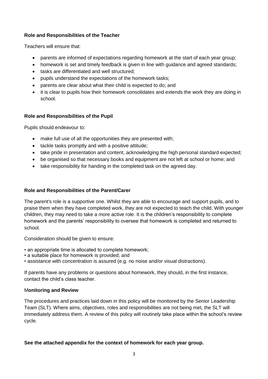#### **Role and Responsibilities of the Teacher**

Teachers will ensure that:

- parents are informed of expectations regarding homework at the start of each year group;
- homework is set and timely feedback is given in line with guidance and agreed standards;
- tasks are differentiated and well structured;
- pupils understand the expectations of the homework tasks;
- parents are clear about what their child is expected to do; and
- it is clear to pupils how their homework consolidates and extends the work they are doing in school.

#### **Role and Responsibilities of the Pupil**

Pupils should endeavour to:

- make full use of all the opportunities they are presented with;
- tackle tasks promptly and with a positive attitude;
- take pride in presentation and content, acknowledging the high personal standard expected;
- be organised so that necessary books and equipment are not left at school or home; and
- take responsibility for handing in the completed task on the agreed day.

#### **Role and Responsibilities of the Parent/Carer**

The parent's role is a supportive one. Whilst they are able to encourage and support pupils, and to praise them when they have completed work, they are not expected to teach the child. With younger children, they may need to take a more active role. It is the children's responsibility to complete homework and the parents' responsibility to oversee that homework is completed and returned to school.

Consideration should be given to ensure:

- an appropriate time is allocated to complete homework;
- a suitable place for homework is provided; and
- assistance with concentration is assured (e.g. no noise and/or visual distractions).

If parents have any problems or questions about homework, they should, in the first instance, contact the child's class teacher.

#### M**onitoring and Review**

The procedures and practices laid down in this policy will be monitored by the Senior Leadership Team (SLT). Where aims, objectives, roles and responsibilities are not being met, the SLT will immediately address them. A review of this policy will routinely take place within the school's review cycle.

#### **See the attached appendix for the context of homework for each year group.**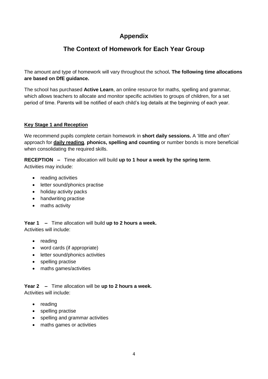## **Appendix**

## **The Context of Homework for Each Year Group**

The amount and type of homework will vary throughout the school**. The following time allocations are based on DfE guidance.**

The school has purchased **Active Learn**, an online resource for maths, spelling and grammar, which allows teachers to allocate and monitor specific activities to groups of children, for a set period of time. Parents will be notified of each child's log details at the beginning of each year.

#### **Key Stage 1 and Reception**

We recommend pupils complete certain homework in **short daily sessions.** A 'little and often' approach for **daily reading**, **phonics, spelling and counting** or number bonds is more beneficial when consolidating the required skills.

**RECEPTION –** Time allocation will build **up to 1 hour a week by the spring term**. Activities may include:

- reading activities
- letter sound/phonics practise
- holiday activity packs
- handwriting practise
- maths activity

**Year 1 –** Time allocation will build **up to 2 hours a week.**  Activities will include:

- reading
- word cards (if appropriate)
- letter sound/phonics activities
- spelling practise
- maths games/activities

**Year 2 –** Time allocation will be **up to 2 hours a week.**  Activities will include:

- reading
- spelling practise
- spelling and grammar activities
- maths games or activities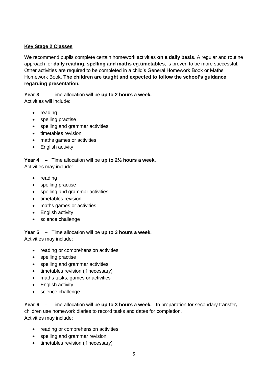#### **Key Stage 2 Classes**

**We** recommend pupils complete certain homework activities **on a daily basis.** A regular and routine approach for **daily reading**, **spelling and maths eg.timetables**, is proven to be more successful. Other activities are required to be completed in a child's General Homework Book or Maths Homework Book. **The children are taught and expected to follow the school's guidance regarding presentation.**

**Year 3 –** Time allocation will be **up to 2 hours a week.**  Activities will include:

- reading
- spelling practise
- spelling and grammar activities
- timetables revision
- maths games or activities
- English activity

**Year 4 –** Time allocation will be **up to 2½ hours a week.**  Activities may include:

- reading
- spelling practise
- spelling and grammar activities
- timetables revision
- maths games or activities
- English activity
- science challenge

**Year 5 –** Time allocation will be **up to 3 hours a week.**  Activities may include:

- reading or comprehension activities
- spelling practise
- spelling and grammar activities
- timetables revision (if necessary)
- maths tasks, games or activities
- English activity
- science challenge

**Year 6 –** Time allocation will be **up to 3 hours a week.** In preparation for secondary transfer**,**  children use homework diaries to record tasks and dates for completion. Activities may include:

- reading or comprehension activities
- spelling and grammar revision
- timetables revision (if necessary)